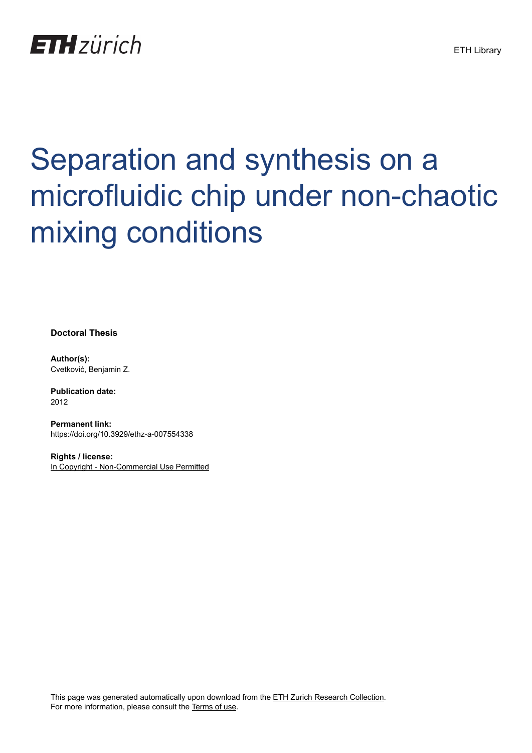

# Separation and synthesis on a microfluidic chip under non-chaotic mixing conditions

**Doctoral Thesis**

**Author(s):** Cvetković, Benjamin Z.

**Publication date:** 2012

**Permanent link:** <https://doi.org/10.3929/ethz-a-007554338>

**Rights / license:** [In Copyright - Non-Commercial Use Permitted](http://rightsstatements.org/page/InC-NC/1.0/)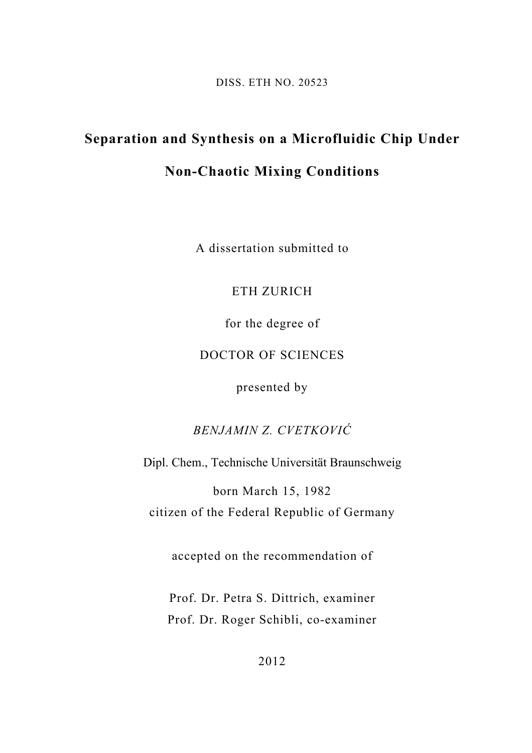DISS. ETH NO. 20523

## **Separation and Synthesis on a Microfluidic Chip Under**

## **Non-Chaotic Mixing Conditions**

A dissertation submitted to

#### ETH ZURICH

for the degree of

#### DOCTOR OF SCIENCES

presented by

## *BENJAMIN Z. CVETKOVIĆ*

Dipl. Chem., Technische Universität Braunschweig

born March 15, 1982 citizen of the Federal Republic of Germany

accepted on the recommendation of

Prof. Dr. Petra S. Dittrich, examiner Prof. Dr. Roger Schibli, co-examiner

2012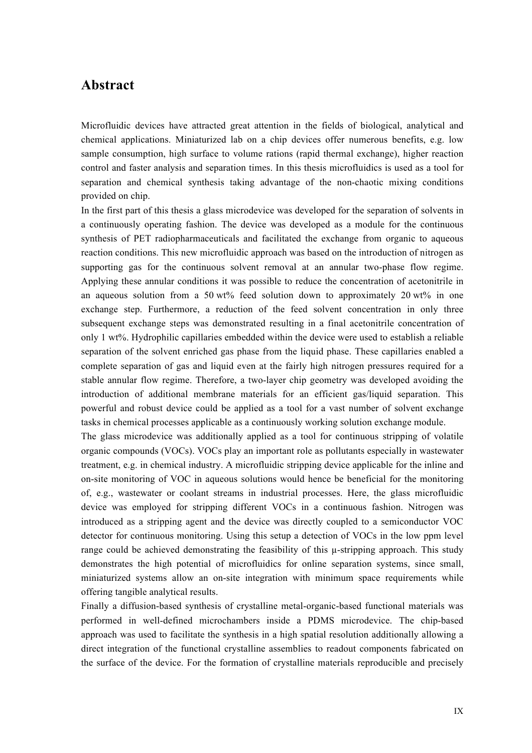#### **Abstract**

Microfluidic devices have attracted great attention in the fields of biological, analytical and chemical applications. Miniaturized lab on a chip devices offer numerous benefits, e.g. low sample consumption, high surface to volume rations (rapid thermal exchange), higher reaction control and faster analysis and separation times. In this thesis microfluidics is used as a tool for separation and chemical synthesis taking advantage of the non-chaotic mixing conditions provided on chip.

In the first part of this thesis a glass microdevice was developed for the separation of solvents in a continuously operating fashion. The device was developed as a module for the continuous synthesis of PET radiopharmaceuticals and facilitated the exchange from organic to aqueous reaction conditions. This new microfluidic approach was based on the introduction of nitrogen as supporting gas for the continuous solvent removal at an annular two-phase flow regime. Applying these annular conditions it was possible to reduce the concentration of acetonitrile in an aqueous solution from a 50 wt% feed solution down to approximately 20 wt% in one exchange step. Furthermore, a reduction of the feed solvent concentration in only three subsequent exchange steps was demonstrated resulting in a final acetonitrile concentration of only 1 wt%. Hydrophilic capillaries embedded within the device were used to establish a reliable separation of the solvent enriched gas phase from the liquid phase. These capillaries enabled a complete separation of gas and liquid even at the fairly high nitrogen pressures required for a stable annular flow regime. Therefore, a two-layer chip geometry was developed avoiding the introduction of additional membrane materials for an efficient gas/liquid separation. This powerful and robust device could be applied as a tool for a vast number of solvent exchange tasks in chemical processes applicable as a continuously working solution exchange module.

The glass microdevice was additionally applied as a tool for continuous stripping of volatile organic compounds (VOCs). VOCs play an important role as pollutants especially in wastewater treatment, e.g. in chemical industry. A microfluidic stripping device applicable for the inline and on-site monitoring of VOC in aqueous solutions would hence be beneficial for the monitoring of, e.g., wastewater or coolant streams in industrial processes. Here, the glass microfluidic device was employed for stripping different VOCs in a continuous fashion. Nitrogen was introduced as a stripping agent and the device was directly coupled to a semiconductor VOC detector for continuous monitoring. Using this setup a detection of VOCs in the low ppm level range could be achieved demonstrating the feasibility of this  $\mu$ -stripping approach. This study demonstrates the high potential of microfluidics for online separation systems, since small, miniaturized systems allow an on-site integration with minimum space requirements while offering tangible analytical results.

Finally a diffusion-based synthesis of crystalline metal-organic-based functional materials was performed in well-defined microchambers inside a PDMS microdevice. The chip-based approach was used to facilitate the synthesis in a high spatial resolution additionally allowing a direct integration of the functional crystalline assemblies to readout components fabricated on the surface of the device. For the formation of crystalline materials reproducible and precisely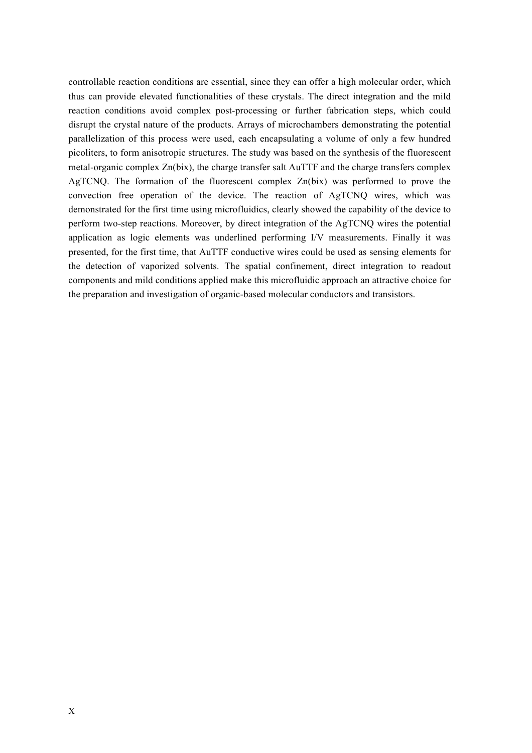controllable reaction conditions are essential, since they can offer a high molecular order, which thus can provide elevated functionalities of these crystals. The direct integration and the mild reaction conditions avoid complex post-processing or further fabrication steps, which could disrupt the crystal nature of the products. Arrays of microchambers demonstrating the potential parallelization of this process were used, each encapsulating a volume of only a few hundred picoliters, to form anisotropic structures. The study was based on the synthesis of the fluorescent metal-organic complex Zn(bix), the charge transfer salt AuTTF and the charge transfers complex AgTCNQ. The formation of the fluorescent complex Zn(bix) was performed to prove the convection free operation of the device. The reaction of AgTCNQ wires, which was demonstrated for the first time using microfluidics, clearly showed the capability of the device to perform two-step reactions. Moreover, by direct integration of the AgTCNQ wires the potential application as logic elements was underlined performing I/V measurements. Finally it was presented, for the first time, that AuTTF conductive wires could be used as sensing elements for the detection of vaporized solvents. The spatial confinement, direct integration to readout components and mild conditions applied make this microfluidic approach an attractive choice for the preparation and investigation of organic-based molecular conductors and transistors.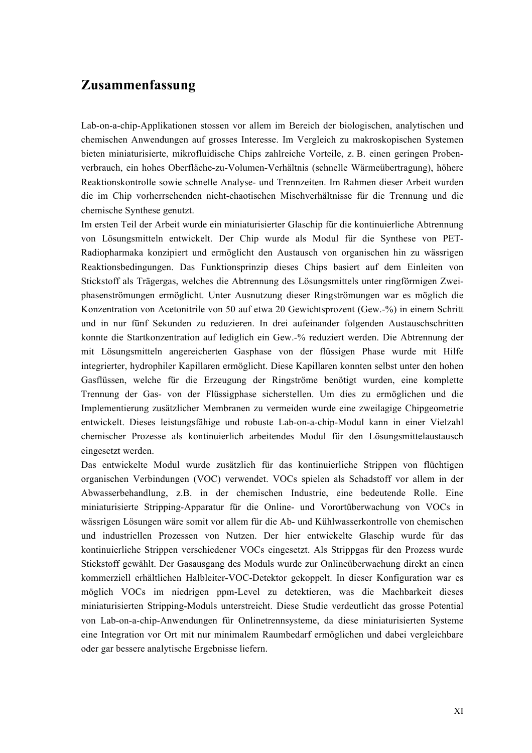### **Zusammenfassung**

Lab-on-a-chip-Applikationen stossen vor allem im Bereich der biologischen, analytischen und chemischen Anwendungen auf grosses Interesse. Im Vergleich zu makroskopischen Systemen bieten miniaturisierte, mikrofluidische Chips zahlreiche Vorteile, z. B. einen geringen Probenverbrauch, ein hohes Oberfläche-zu-Volumen-Verhältnis (schnelle Wärmeübertragung), höhere Reaktionskontrolle sowie schnelle Analyse- und Trennzeiten. Im Rahmen dieser Arbeit wurden die im Chip vorherrschenden nicht-chaotischen Mischverhältnisse für die Trennung und die chemische Synthese genutzt.

Im ersten Teil der Arbeit wurde ein miniaturisierter Glaschip für die kontinuierliche Abtrennung von Lösungsmitteln entwickelt. Der Chip wurde als Modul für die Synthese von PET-Radiopharmaka konzipiert und ermöglicht den Austausch von organischen hin zu wässrigen Reaktionsbedingungen. Das Funktionsprinzip dieses Chips basiert auf dem Einleiten von Stickstoff als Trägergas, welches die Abtrennung des Lösungsmittels unter ringförmigen Zweiphasenströmungen ermöglicht. Unter Ausnutzung dieser Ringströmungen war es möglich die Konzentration von Acetonitrile von 50 auf etwa 20 Gewichtsprozent (Gew.-%) in einem Schritt und in nur fünf Sekunden zu reduzieren. In drei aufeinander folgenden Austauschschritten konnte die Startkonzentration auf lediglich ein Gew.-% reduziert werden. Die Abtrennung der mit Lösungsmitteln angereicherten Gasphase von der flüssigen Phase wurde mit Hilfe integrierter, hydrophiler Kapillaren ermöglicht. Diese Kapillaren konnten selbst unter den hohen Gasflüssen, welche für die Erzeugung der Ringströme benötigt wurden, eine komplette Trennung der Gas- von der Flüssigphase sicherstellen. Um dies zu ermöglichen und die Implementierung zusätzlicher Membranen zu vermeiden wurde eine zweilagige Chipgeometrie entwickelt. Dieses leistungsfähige und robuste Lab-on-a-chip-Modul kann in einer Vielzahl chemischer Prozesse als kontinuierlich arbeitendes Modul für den Lösungsmittelaustausch eingesetzt werden.

Das entwickelte Modul wurde zusätzlich für das kontinuierliche Strippen von flüchtigen organischen Verbindungen (VOC) verwendet. VOCs spielen als Schadstoff vor allem in der Abwasserbehandlung, z.B. in der chemischen Industrie, eine bedeutende Rolle. Eine miniaturisierte Stripping-Apparatur für die Online- und Vorortüberwachung von VOCs in wässrigen Lösungen wäre somit vor allem für die Ab- und Kühlwasserkontrolle von chemischen und industriellen Prozessen von Nutzen. Der hier entwickelte Glaschip wurde für das kontinuierliche Strippen verschiedener VOCs eingesetzt. Als Strippgas für den Prozess wurde Stickstoff gewählt. Der Gasausgang des Moduls wurde zur Onlineüberwachung direkt an einen kommerziell erhältlichen Halbleiter-VOC-Detektor gekoppelt. In dieser Konfiguration war es möglich VOCs im niedrigen ppm-Level zu detektieren, was die Machbarkeit dieses miniaturisierten Stripping-Moduls unterstreicht. Diese Studie verdeutlicht das grosse Potential von Lab-on-a-chip-Anwendungen für Onlinetrennsysteme, da diese miniaturisierten Systeme eine Integration vor Ort mit nur minimalem Raumbedarf ermöglichen und dabei vergleichbare oder gar bessere analytische Ergebnisse liefern.